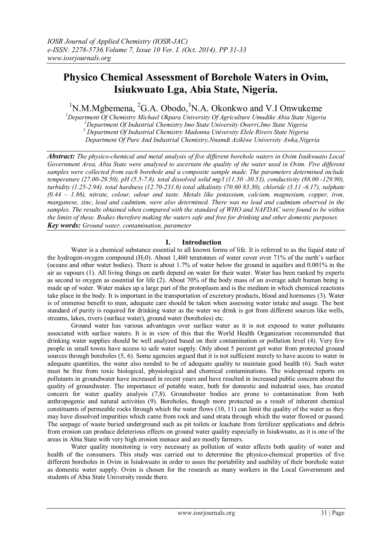# **Physico Chemical Assessment of Borehole Waters in Ovim, Isiukwuato Lga, Abia State, Nigeria.**

 $1$ N.M.Mgbemena,  ${}^{2}G.A.$  Obodo,  ${}^{3}N.A.$  Okonkwo and V.I Onwukeme

*Department Of Chemistry Michael Okpara University Of Agriculture Umudike Abia State Nigeria Department Of Industrial Chemistry Imo State University Owerri,Imo State Nigeria Department Of Industrial Chemistry Madonna University Elele Rivers State Nigeria Department Of Pure And Industrial Chemistry,Nnamdi Azikiwe University Awka,Nigeria*

*Abstract: The physico-chemical and metal analysis of five different borehole waters in Ovim Isuikwuato Local Government Area, Abia State were analysed to ascertain the quality of the water used in Ovim. Five different samples were collected from each borehole and a composite sample made. The parameters determined include temperature (27.00-29.50), pH (5.5-7.8). total dissolved solid mg/l (11.50 -30.53), conductivity (88.00 -129.90), turbidity (1.25-2.94). total hardness (12.70-231.6) total alkalinity (70.60 83.30), chloride (3.11 -6.17), sulphate (0.44 – 1.86), nitrate, colour, odour and taste. Metals like potassium, calcium, magnesium, copper, iron, manganese, zinc, lead and cadmium, were also determined. There was no lead and cadmium observed in the samples. The results obtained when compared with the standard of WHO and NAFDAC were found to be within the limits of these. Bodies therefore making the waters safe and free for drinking and other domestic purposes. Key words: Ground water, contamination, parameter*

# **I. Introduction**

Water is a chemical substance essential to all known forms of life. It is referred to as the liquid state of the hydrogen-oxygen compound  $(H<sub>2</sub>0)$ . About 1,460 teratonnes of water cover over 71% of the earth's surface (oceans and other water bodies). There is about 1.7% of water below the ground in aquifers and 0.001% in the air as vapours (1). All living things on earth depend on water for their water. Water has been ranked by experts as second to oxygen as essential for life (2). About 70% of the body mass of an average adult human being is made up of water. Water makes up a large part of the protoplasm and is the medium in which chemical reactions take place in the body. It is important in the transportation of excretory products, blood and hormones (3). Water is of immense benefit to man, adequate care should be taken when assessing water intake and usage. The best standard of purity is required for drinking water as the water we drink is got from different sources like wells, streams, lakes, rivers (surface water), ground water (boreholes) etc.

Ground water has various advantages over surface water as it is not exposed to water pollutants associated with surface waters. It is in view of this that the World Health Organization recommended that drinking water supplies should be well analyzed based on their contamination or pollution level (4). Very few people in small towns have access to safe water supply. Only about 5 percent get water from protected ground sources through boreholes (5, 6). Some agencies argued that it is not sufficient merely to have access to water in adequate quantities, the water also needed to be of adequate quality to maintain good health (6). Such water must be free from toxic biological, physiological and chemical contaminations. The widespread reports on pollutants in groundwater have increased in recent years and have resulted in increased public concern about the quality of groundwater. The importance of potable water, both for domestic and industrial uses, has created concern for water quality analysis (7,8). Groundwater bodies are prone to contamination from both anthropogenic and natural activities (9). Boreholes, though more protected as a result of inherent chemical constituents of permeable rocks through which the water flows (10, 11) can limit the quality of the water as they may have dissolved impurities which came from rock and sand strata through which the water flowed or passed. The seepage of waste buried underground such as pit toilets or leachate from fertilizer applications and debris from erosion can produce deleterious effects on ground water quality especially in Isiukwuato, as it is one of the areas in Abia State with very high erosion menace and are mostly farmers.

Water quality monitoring is very necessary as pollution of water affects both quality of water and health of the consumers. This study was carried out to determine the physico-chemical properties of five different boreholes in Ovim in Isiukwuato in order to asses the portability and usability of their borehole water as domestic water supply. Ovim is chosen for the research as many workers in the Local Government and students of Abia State University reside there.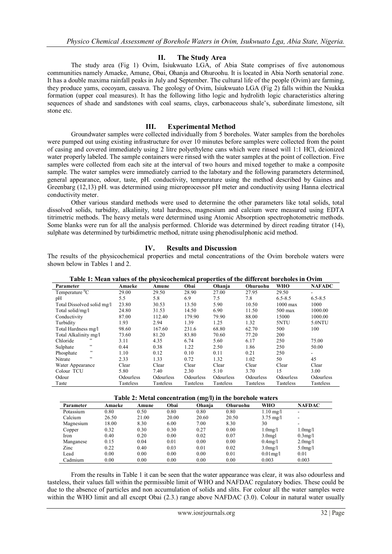### **II. The Study Area**

The study area (Fig 1) Ovim, Isiukwuato LGA, of Abia State comprises of five autonomous communities namely Amaeke, Amune, Obai, Ohanja and Ohuroohu. It is located in Abia North senatorial zone. It has a double maxima rainfall peaks in July and September. The cultural life of the people (Ovim) are farming, they produce yams, cocoyam, cassava. The geology of Ovim, Isiukwuato LGA (Fig 2) falls within the Nsukka formation (upper coal measures). It has the following litho logic and hydrolith logic characteristics altering sequences of shade and sandstones with coal seams, clays, carbonaceous shale's, subordinate limestone, silt stone etc.

## **III. Experimental Method**

Groundwater samples were collected individually from 5 boreholes. Water samples from the boreholes were pumped out using existing infrastructure for over 10 minutes before samples were collected from the point of casing and covered immediately using 2 litre polyethylene cans which were rinsed will 1:1 HCl, deionized water properly labeled. The sample containers were rinsed with the water samples at the point of collection. Five samples were collected from each site at the interval of two hours and mixed together to make a composite sample. The water samples were immediately carried to the labotary and the following parameters determined, general appearance, odour, taste, pH. conductivity, temperature using the method described by Gaines and Greenbarg (12,13) pH. was determined using microprocessor pH meter and conductivity using Hanna electrical conductivity meter.

Other various standard methods were used to determine the other parameters like total solids, total dissolved solids, turbidity, alkalinity, total hardness, magnesium and calcium were measured using EDTA titrimetric methods. The heavy metals were determined using Atomic Absorption spectrophotometric methods. Some blanks were run for all the analysis performed. Chloride was determined by direct reading titrator (14), sulphate was determined by turbidimetric method, nitrate using phenodisulphonic acid method.

# **IV. Results and Discussion**

The results of the physicochemical properties and metal concentrations of the Ovim borehole waters were shown below in Tables 1 and 2.

| Parameter                  | Amaeke    | Amune     | Obai      | Ohanja    | Ohuruohu  | <b>WHO</b>  | <b>NAFADC</b> |
|----------------------------|-----------|-----------|-----------|-----------|-----------|-------------|---------------|
| Temperature ${}^{0}C$      | 29.00     | 29.50     | 28.90     | 27.00     | 27.95     | 29.50       |               |
| pH                         | 5.5       | 5.8       | 6.9       | 7.5       | 7.8       | $6.5 - 8.5$ | $6.5 - 8.5$   |
| Total Dissolved solid mg/l | 23.80     | 30.53     | 13.50     | 5.90      | 10.50     | $1000$ max  | 1000          |
| Total solid/mg/l           | 24.80     | 31.53     | 14.50     | 6.90      | 11.50     | $500$ max   | 1000.00       |
| Conductivity               | 87.00     | 112.40    | 179.90    | 79.90     | 88.00     | 15000       | 1000.00       |
| Turbidity                  | 1.93      | 2.94      | 1.39      | 1.25      | 1.32      | 5NTU        | 5.0NTU        |
| Total Hardness mg/l        | 98.60     | 167.60    | 231.6     | 68.80     | 62.70     | 500         | 100           |
| Total Alkalinity mg/l      | 73.60     | 81.20     | 83.80     | 70.60     | 77.20     | 200         |               |
| Chloride<br>, 2            | 3.11      | 4.35      | 6.74      | 5.60      | 6.17      | 250         | 75.00         |
| , ,<br>Sulphate            | 0.44      | 0.38      | 1.22      | 2.50      | 1.86      | 250         | 50.00         |
| , ,<br>Phosphate           | 1.10      | 0.12      | 0.10      | 0.11      | 0.21      | 250         | $\sim$        |
| , ,<br>Nitrate             | 2.33      | 1.33      | 0.72      | 1.32      | 1.02      | 50          | 45            |
| Water Appearance           | Clear     | Clear     | Clear     | Clear     | Clear     | Clear       | Clear         |
| Colour TCU                 | 5.80      | 7.40      | 2.30      | 5.10      | 3.70      | 15          | 3.00          |
| Odour                      | Odourless | Odourless | Odourless | Odourless | Odourless | Odourless   | Odourless     |
| Taste                      | Tasteless | Tasteless | Tasteless | Tasteless | Tasteless | Tasteless   | Tasteless     |

**Table 1: Mean values of the physicochemical properties of the different boreholes in Ovim**

#### **Table 2: Metal concentration (mg/l) in the borehole waters**

| Table 2. Metal concentration (ing/1) in the bolehole waters |        |       |       |        |          |                      |                      |  |  |  |  |
|-------------------------------------------------------------|--------|-------|-------|--------|----------|----------------------|----------------------|--|--|--|--|
| Parameter                                                   | Amaeke | Amune | Obai  | Ohanja | Ohuruohu | WHO                  | NAFDAC               |  |  |  |  |
| Potassium                                                   | 0.80   | 0.50  | 0.80  | 0.80   | 0.80     | $1.10 \text{ mg}/1$  | -                    |  |  |  |  |
| Calcium                                                     | 26.50  | 21.00 | 20.00 | 20.60  | 20.50    | $3.75 \text{ mg/l}$  |                      |  |  |  |  |
| Magnesium                                                   | 18.00  | 8.30  | 6.00  | 7.00   | 8.30     | 30                   |                      |  |  |  |  |
| Copper                                                      | 0.32   | 0.30  | 0.30  | 0.27   | 0.00     | 1.0 <sub>m</sub> g/l | 1.0 <sub>mg</sub> /l |  |  |  |  |
| Iron                                                        | 0.40   | 0.20  | 0.00  | 0.02   | 0.07     | 3.0 <sub>me</sub>    | $0.3$ mg/l           |  |  |  |  |
| Manganese                                                   | 0.15   | 0.04  | 0.01  | 0.00   | 0.00     | $0.4$ mg/l           | $2.0$ mg/l           |  |  |  |  |
| Zinc                                                        | 0.22   | 0.40  | 0.03  | 0.01   | 0.02     | $3.0$ mg/l           | $5.0$ mg/l           |  |  |  |  |
| Lead                                                        | 0.00   | 0.00  | 0.00  | 0.00   | 0.01     | $0.01$ mg/l          | 0.01                 |  |  |  |  |
| Cadmium                                                     | 0.00   | 0.00  | 0.00  | 0.00   | 0.00     | 0.003                | 0.003                |  |  |  |  |
|                                                             |        |       |       |        |          |                      |                      |  |  |  |  |

From the results in Table 1 it can be seen that the water appearance was clear, it was also odourless and tasteless, their values fall within the permissible limit of WHO and NAFDAC regulatory bodies. These could be due to the absence of particles and non accumulation of solids and slits. For colour all the water samples were within the WHO limit and all except Obai (2.3.) range above NAFDAC (3.0). Colour in natural water usually